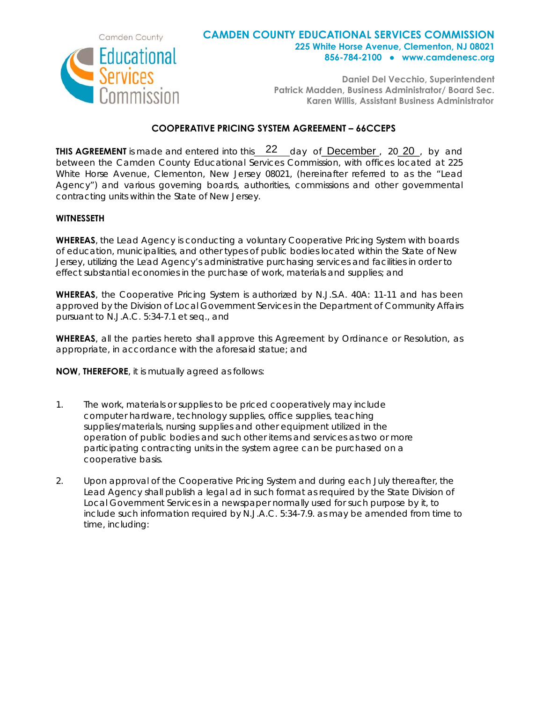

## **CAMDEN COUNTY EDUCATIONAL SERVICES COMMISSION 225 White Horse Avenue, Clementon, NJ 08021 856-784-2100 ● www.camdenesc.org**

**Daniel Del Vecchio, Superintendent Patrick Madden, Business Administrator/ Board Sec. Karen Willis, Assistant Business Administrator**

## **COOPERATIVE PRICING SYSTEM AGREEMENT – 66CCEPS**

**THIS AGREEMENT** is made and entered into this 22 day of **December**, 20 20, by and between the Camden County Educational Services Commission, with offices located at 225 White Horse Avenue, Clementon, New Jersey 08021, (hereinafter referred to as the "Lead Agency") and various governing boards, authorities, commissions and other governmental contracting units within the State of New Jersey.

## **WITNESSETH**

**WHEREAS**, the Lead Agency is conducting a voluntary Cooperative Pricing System with boards of education, municipalities, and other types of public bodies located within the State of New Jersey, utilizing the Lead Agency's administrative purchasing services and facilities in order to effect substantial economies in the purchase of work, materials and supplies; and

**WHEREAS**, the Cooperative Pricing System is authorized by N.J.S.A. 40A: 11-11 and has been approved by the Division of Local Government Services in the Department of Community Affairs pursuant to N.J.A.C. 5:34-7.1 et seq., and

**WHEREAS**, all the parties hereto shall approve this Agreement by Ordinance or Resolution, as appropriate, in accordance with the aforesaid statue; and

**NOW**, **THEREFORE**, it is mutually agreed as follows:

- 1. The work, materials or supplies to be priced cooperatively may include computer hardware, technology supplies, office supplies, teaching supplies/materials, nursing supplies and other equipment utilized in the operation of public bodies and such other items and services as two or more participating contracting units in the system agree can be purchased on a cooperative basis.
- 2. Upon approval of the Cooperative Pricing System and during each July thereafter, the Lead Agency shall publish a legal ad in such format as required by the State Division of Local Government Services in a newspaper normally used for such purpose by it, to include such information required by N.J.A.C. 5:34-7.9. as may be amended from time to time, including: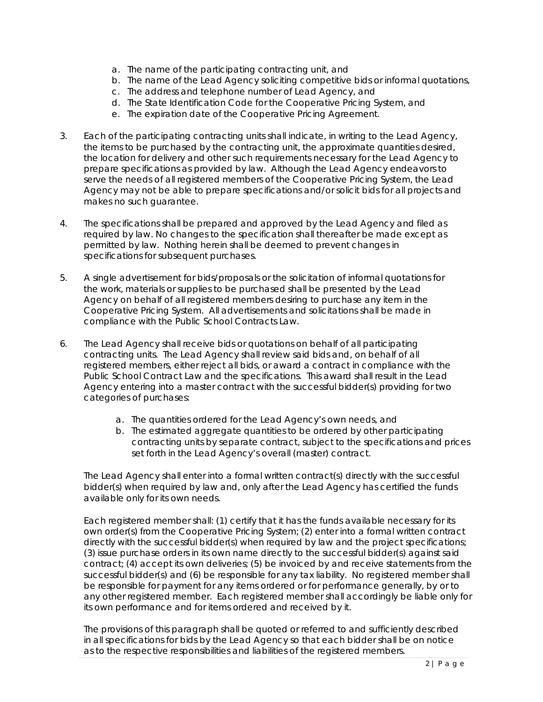- a. The name of the participating contracting unit, and
- b. The name of the Lead Agency soliciting competitive bids or informal quotations,
- c. The address and telephone number of Lead Agency, and
- d. The State Identification Code for the Cooperative Pricing System, and
- e. The expiration date of the Cooperative Pricing Agreement.
- 3. Each of the participating contracting units shall indicate, in writing to the Lead Agency, the items to be purchased by the contracting unit, the approximate quantities desired, the location for delivery and other such requirements necessary for the Lead Agency to prepare specifications as provided by law. Although the Lead Agency endeavors to serve the needs of all registered members of the Cooperative Pricing System, the Lead Agency may not be able to prepare specifications and/or solicit bids for all projects and makes no such guarantee.
- 4. The specifications shall be prepared and approved by the Lead Agency and filed as required by law. No changes to the specification shall thereafter be made except as permitted by law. Nothing herein shall be deemed to prevent changes in specifications for subsequent purchases.
- 5. A single advertisement for bids/proposals or the solicitation of informal quotations for the work, materials or supplies to be purchased shall be presented by the Lead Agency on behalf of all registered members desiring to purchase any item in the Cooperative Pricing System. All advertisements and solicitations shall be made in compliance with the Public School Contracts Law.
- 6. The Lead Agency shall receive bids or quotations on behalf of all participating contracting units. The Lead Agency shall review said bids and, on behalf of all registered members, either reject all bids, or award a contract in compliance with the Public School Contract Law and the specifications. This award shall result in the Lead Agency entering into a master contract with the successful bidder(s) providing for two categories of purchases:
	- a. The quantities ordered for the Lead Agency's own needs, and
	- b. The estimated aggregate quantities to be ordered by other participating contracting units by separate contract, subject to the specifications and prices set forth in the Lead Agency's overall (master) contract.

The Lead Agency shall enter into a formal written contract(s) directly with the successful bidder(s) when required by law and, only after the Lead Agency has certified the funds available only for its own needs.

Each registered member shall: (1) certify that it has the funds available necessary for its own order(s) from the Cooperative Pricing System; (2) enter into a formal written contract directly with the successful bidder(s) when required by law and the project specifications; (3) issue purchase orders in its own name directly to the successful bidder(s) against said contract; (4) accept its own deliveries; (5) be invoiced by and receive statements from the successful bidder(s) and (6) be responsible for any tax liability. No registered member shall be responsible for payment for any items ordered or for performance generally, by or to any other registered member. Each registered member shall accordingly be liable only for its own performance and for items ordered and received by it.

The provisions of this paragraph shall be quoted or referred to and sufficiently described in all specifications for bids by the Lead Agency so that each bidder shall be on notice as to the respective responsibilities and liabilities of the registered members.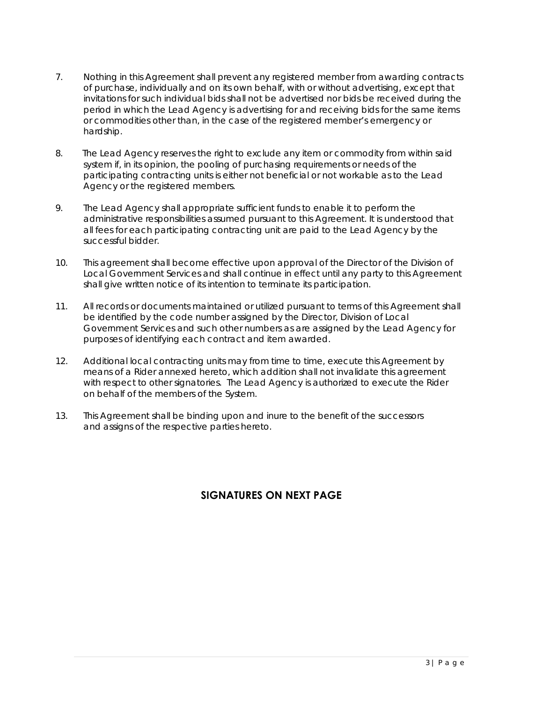- 7. Nothing in this Agreement shall prevent any registered member from awarding contracts of purchase, individually and on its own behalf, with or without advertising, except that invitations for such individual bids shall not be advertised nor bids be received during the period in which the Lead Agency is advertising for and receiving bids for the same items or commodities other than, in the case of the registered member's emergency or hardship.
- 8. The Lead Agency reserves the right to exclude any item or commodity from within said system if, in its opinion, the pooling of purchasing requirements or needs of the participating contracting units is either not beneficial or not workable as to the Lead Agency or the registered members.
- 9. The Lead Agency shall appropriate sufficient funds to enable it to perform the administrative responsibilities assumed pursuant to this Agreement. It is understood that all fees for each participating contracting unit are paid to the Lead Agency by the successful bidder.
- 10. This agreement shall become effective upon approval of the Director of the Division of Local Government Services and shall continue in effect until any party to this Agreement shall give written notice of its intention to terminate its participation.
- 11. All records or documents maintained or utilized pursuant to terms of this Agreement shall be identified by the code number assigned by the Director, Division of Local Government Services and such other numbers as are assigned by the Lead Agency for purposes of identifying each contract and item awarded.
- 12. Additional local contracting units may from time to time, execute this Agreement by means of a Rider annexed hereto, which addition shall not invalidate this agreement with respect to other signatories. The Lead Agency is authorized to execute the Rider on behalf of the members of the System.
- 13. This Agreement shall be binding upon and inure to the benefit of the successors and assigns of the respective parties hereto.

## **SIGNATURES ON NEXT PAGE**